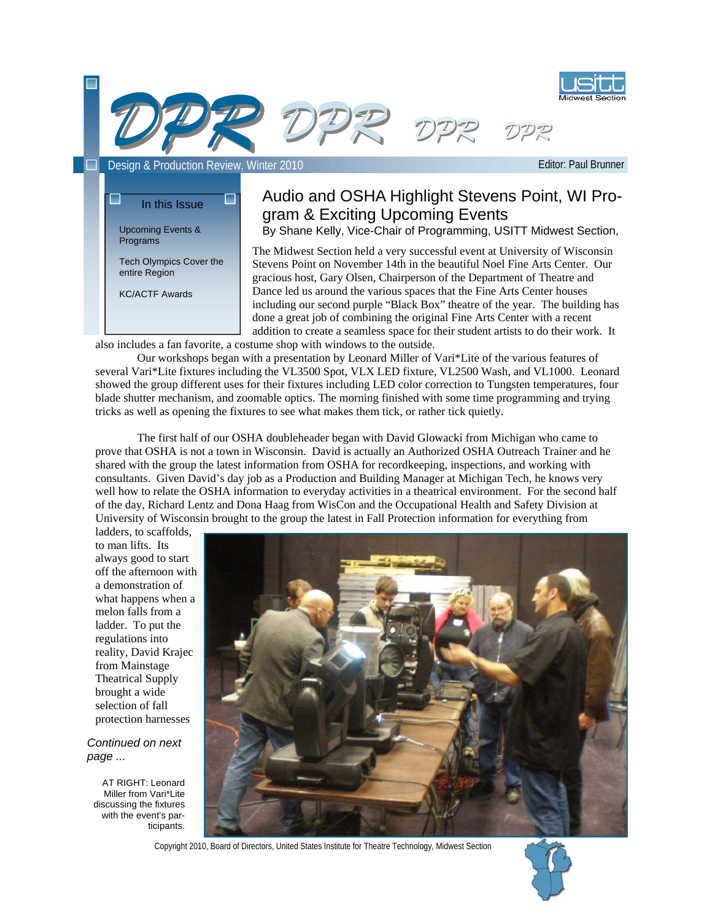

Editor: Paul Brunner



# Audio and OSHA Highlight Stevens Point, WI Program & Exciting Upcoming Events

By Shane Kelly, Vice-Chair of Programming, USITT Midwest Section,

The Midwest Section held a very successful event at University of Wisconsin Stevens Point on November 14th in the beautiful Noel Fine Arts Center. Our gracious host, Gary Olsen, Chairperson of the Department of Theatre and Dance led us around the various spaces that the Fine Arts Center houses including our second purple "Black Box" theatre of the year. The building has done a great job of combining the original Fine Arts Center with a recent addition to create a seamless space for their student artists to do their work. It

also includes a fan favorite, a costume shop with windows to the outside.

 Our workshops began with a presentation by Leonard Miller of Vari\*Lite of the various features of several Vari\*Lite fixtures including the VL3500 Spot, VLX LED fixture, VL2500 Wash, and VL1000. Leonard showed the group different uses for their fixtures including LED color correction to Tungsten temperatures, four blade shutter mechanism, and zoomable optics. The morning finished with some time programming and trying tricks as well as opening the fixtures to see what makes them tick, or rather tick quietly.

 The first half of our OSHA doubleheader began with David Glowacki from Michigan who came to prove that OSHA is not a town in Wisconsin. David is actually an Authorized OSHA Outreach Trainer and he shared with the group the latest information from OSHA for recordkeeping, inspections, and working with consultants. Given David's day job as a Production and Building Manager at Michigan Tech, he knows very well how to relate the OSHA information to everyday activities in a theatrical environment. For the second half of the day, Richard Lentz and Dona Haag from WisCon and the Occupational Health and Safety Division at University of Wisconsin brought to the group the latest in Fall Protection information for everything from

ladders, to scaffolds, to man lifts. Its always good to start off the afternoon with a demonstration of what happens when a melon falls from a ladder. To put the regulations into reality, David Krajec from Mainstage Theatrical Supply brought a wide selection of fall protection harnesses

Upcoming Events & Programs

entire Region KC/ACTF Awards

Tech Olympics Cover the

*Continued on next page ...* 

AT RIGHT: Leonard Miller from Vari\*Lite discussing the fixtures with the event's participants.



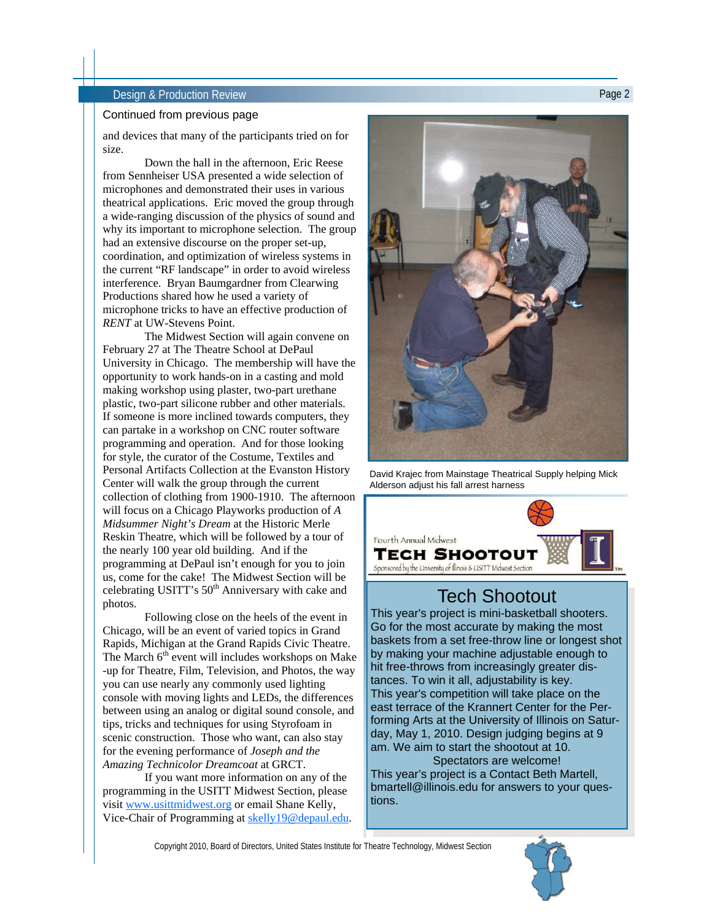### **Design & Production Review Page 2 Design & Production Review**

### Continued from previous page

and devices that many of the participants tried on for size.

 Down the hall in the afternoon, Eric Reese from Sennheiser USA presented a wide selection of microphones and demonstrated their uses in various theatrical applications. Eric moved the group through a wide-ranging discussion of the physics of sound and why its important to microphone selection. The group had an extensive discourse on the proper set-up, coordination, and optimization of wireless systems in the current "RF landscape" in order to avoid wireless interference. Bryan Baumgardner from Clearwing Productions shared how he used a variety of microphone tricks to have an effective production of *RENT* at UW-Stevens Point.

 The Midwest Section will again convene on February 27 at The Theatre School at DePaul University in Chicago. The membership will have the opportunity to work hands-on in a casting and mold making workshop using plaster, two-part urethane plastic, two-part silicone rubber and other materials. If someone is more inclined towards computers, they can partake in a workshop on CNC router software programming and operation. And for those looking for style, the curator of the Costume, Textiles and Personal Artifacts Collection at the Evanston History Center will walk the group through the current collection of clothing from 1900-1910. The afternoon will focus on a Chicago Playworks production of *A Midsummer Night's Dream* at the Historic Merle Reskin Theatre, which will be followed by a tour of the nearly 100 year old building. And if the programming at DePaul isn't enough for you to join us, come for the cake! The Midwest Section will be celebrating USITT's 50<sup>th</sup> Anniversary with cake and photos.

 Following close on the heels of the event in Chicago, will be an event of varied topics in Grand Rapids, Michigan at the Grand Rapids Civic Theatre. The March  $6<sup>th</sup>$  event will includes workshops on Make -up for Theatre, Film, Television, and Photos, the way you can use nearly any commonly used lighting console with moving lights and LEDs, the differences between using an analog or digital sound console, and tips, tricks and techniques for using Styrofoam in scenic construction. Those who want, can also stay for the evening performance of *Joseph and the Amazing Technicolor Dreamcoat* at GRCT.

 If you want more information on any of the programming in the USITT Midwest Section, please visit www.usittmidwest.org or email Shane Kelly, Vice-Chair of Programming at skelly19@depaul.edu.



David Krajec from Mainstage Theatrical Supply helping Mick Alderson adjust his fall arrest harness



# Tech Shootout

This year's project is mini-basketball shooters. Go for the most accurate by making the most baskets from a set free-throw line or longest shot by making your machine adjustable enough to hit free-throws from increasingly greater distances. To win it all, adjustability is key. This year's competition will take place on the east terrace of the Krannert Center for the Performing Arts at the University of Illinois on Saturday, May 1, 2010. Design judging begins at 9 am. We aim to start the shootout at 10.

Spectators are welcome! This year's project is a Contact Beth Martell, bmartell@illinois.edu for answers to your questions.

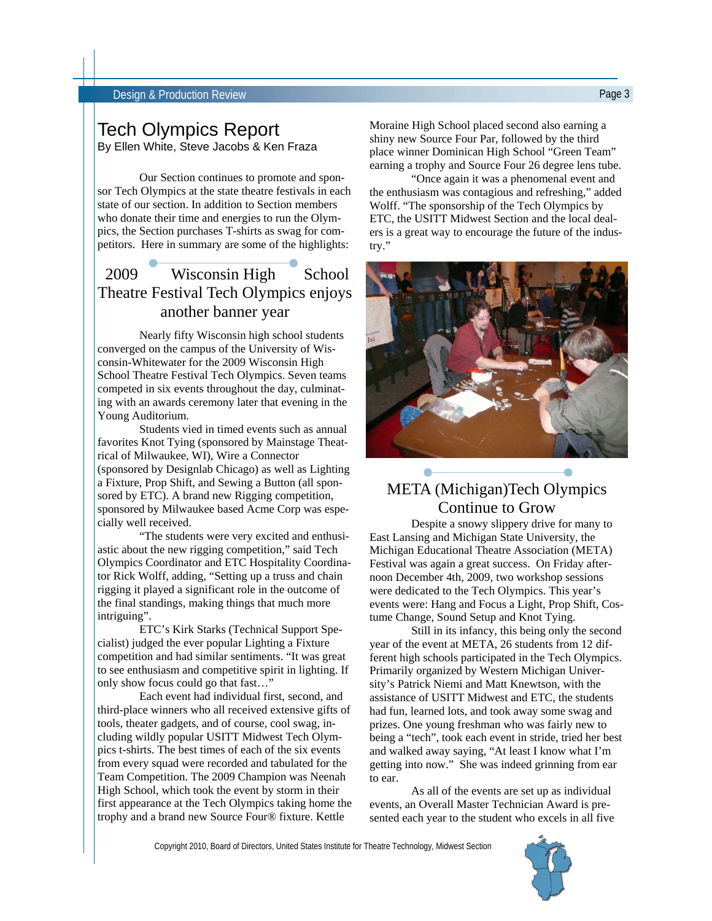# Tech Olympics Report

By Ellen White, Steve Jacobs & Ken Fraza

 Our Section continues to promote and sponsor Tech Olympics at the state theatre festivals in each state of our section. In addition to Section members who donate their time and energies to run the Olympics, the Section purchases T-shirts as swag for competitors. Here in summary are some of the highlights:

# 2009 Wisconsin High School Theatre Festival Tech Olympics enjoys another banner year

 Nearly fifty Wisconsin high school students converged on the campus of the University of Wisconsin-Whitewater for the 2009 Wisconsin High School Theatre Festival Tech Olympics. Seven teams competed in six events throughout the day, culminating with an awards ceremony later that evening in the Young Auditorium.

 Students vied in timed events such as annual favorites Knot Tying (sponsored by Mainstage Theatrical of Milwaukee, WI), Wire a Connector (sponsored by Designlab Chicago) as well as Lighting a Fixture, Prop Shift, and Sewing a Button (all sponsored by ETC). A brand new Rigging competition, sponsored by Milwaukee based Acme Corp was especially well received.

 "The students were very excited and enthusiastic about the new rigging competition," said Tech Olympics Coordinator and ETC Hospitality Coordinator Rick Wolff, adding, "Setting up a truss and chain rigging it played a significant role in the outcome of the final standings, making things that much more intriguing".

 ETC's Kirk Starks (Technical Support Specialist) judged the ever popular Lighting a Fixture competition and had similar sentiments. "It was great to see enthusiasm and competitive spirit in lighting. If only show focus could go that fast…"

 Each event had individual first, second, and third-place winners who all received extensive gifts of tools, theater gadgets, and of course, cool swag, including wildly popular USITT Midwest Tech Olympics t-shirts. The best times of each of the six events from every squad were recorded and tabulated for the Team Competition. The 2009 Champion was Neenah High School, which took the event by storm in their first appearance at the Tech Olympics taking home the trophy and a brand new Source Four® fixture. Kettle

Moraine High School placed second also earning a shiny new Source Four Par, followed by the third place winner Dominican High School "Green Team" earning a trophy and Source Four 26 degree lens tube.

 "Once again it was a phenomenal event and the enthusiasm was contagious and refreshing," added Wolff. "The sponsorship of the Tech Olympics by ETC, the USITT Midwest Section and the local dealers is a great way to encourage the future of the industry."



# META (Michigan)Tech Olympics Continue to Grow

 Despite a snowy slippery drive for many to East Lansing and Michigan State University, the Michigan Educational Theatre Association (META) Festival was again a great success. On Friday afternoon December 4th, 2009, two workshop sessions were dedicated to the Tech Olympics. This year's events were: Hang and Focus a Light, Prop Shift, Costume Change, Sound Setup and Knot Tying.

 Still in its infancy, this being only the second year of the event at META, 26 students from 12 different high schools participated in the Tech Olympics. Primarily organized by Western Michigan University's Patrick Niemi and Matt Knewtson, with the assistance of USITT Midwest and ETC, the students had fun, learned lots, and took away some swag and prizes. One young freshman who was fairly new to being a "tech", took each event in stride, tried her best and walked away saying, "At least I know what I'm getting into now." She was indeed grinning from ear to ear.

 As all of the events are set up as individual events, an Overall Master Technician Award is presented each year to the student who excels in all five

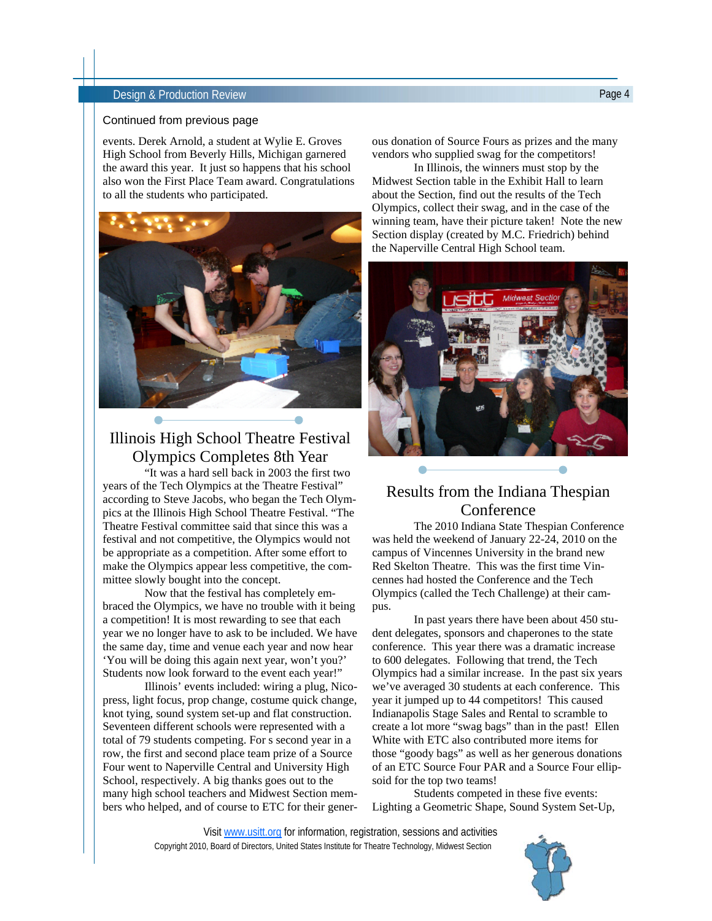### Design & Production Review Page 4

### Continued from previous page

events. Derek Arnold, a student at Wylie E. Groves High School from Beverly Hills, Michigan garnered the award this year. It just so happens that his school also won the First Place Team award. Congratulations to all the students who participated.



# Illinois High School Theatre Festival Olympics Completes 8th Year

 "It was a hard sell back in 2003 the first two years of the Tech Olympics at the Theatre Festival" according to Steve Jacobs, who began the Tech Olympics at the Illinois High School Theatre Festival. "The Theatre Festival committee said that since this was a festival and not competitive, the Olympics would not be appropriate as a competition. After some effort to make the Olympics appear less competitive, the committee slowly bought into the concept.

 Now that the festival has completely embraced the Olympics, we have no trouble with it being a competition! It is most rewarding to see that each year we no longer have to ask to be included. We have the same day, time and venue each year and now hear 'You will be doing this again next year, won't you?' Students now look forward to the event each year!"

 Illinois' events included: wiring a plug, Nicopress, light focus, prop change, costume quick change, knot tying, sound system set-up and flat construction. Seventeen different schools were represented with a total of 79 students competing. For s second year in a row, the first and second place team prize of a Source Four went to Naperville Central and University High School, respectively. A big thanks goes out to the many high school teachers and Midwest Section members who helped, and of course to ETC for their generous donation of Source Fours as prizes and the many vendors who supplied swag for the competitors!

 In Illinois, the winners must stop by the Midwest Section table in the Exhibit Hall to learn about the Section, find out the results of the Tech Olympics, collect their swag, and in the case of the winning team, have their picture taken! Note the new Section display (created by M.C. Friedrich) behind the Naperville Central High School team.



# Results from the Indiana Thespian Conference

 The 2010 Indiana State Thespian Conference was held the weekend of January 22-24, 2010 on the campus of Vincennes University in the brand new Red Skelton Theatre. This was the first time Vincennes had hosted the Conference and the Tech Olympics (called the Tech Challenge) at their campus.

 In past years there have been about 450 student delegates, sponsors and chaperones to the state conference. This year there was a dramatic increase to 600 delegates. Following that trend, the Tech Olympics had a similar increase. In the past six years we've averaged 30 students at each conference. This year it jumped up to 44 competitors! This caused Indianapolis Stage Sales and Rental to scramble to create a lot more "swag bags" than in the past! Ellen White with ETC also contributed more items for those "goody bags" as well as her generous donations of an ETC Source Four PAR and a Source Four ellipsoid for the top two teams!

 Students competed in these five events: Lighting a Geometric Shape, Sound System Set-Up,

Copyright 2010, Board of Directors, United States Institute for Theatre Technology, Midwest Section Visit www.usitt.org for information, registration, sessions and activities

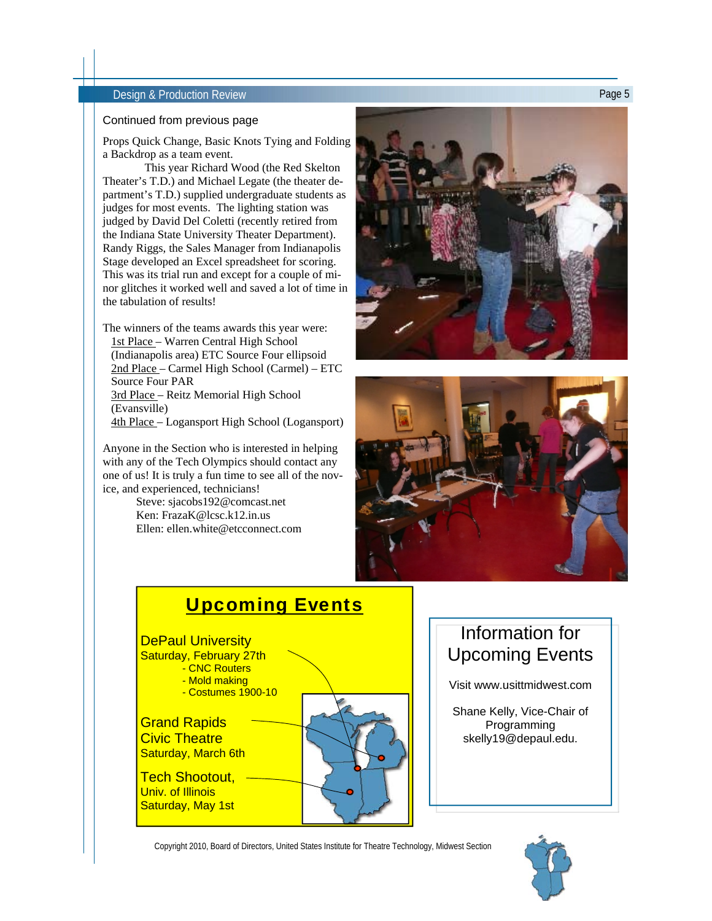### Design & Production Review Page 5

### Continued from previous page

Props Quick Change, Basic Knots Tying and Folding a Backdrop as a team event.

 This year Richard Wood (the Red Skelton Theater's T.D.) and Michael Legate (the theater department's T.D.) supplied undergraduate students as judges for most events. The lighting station was judged by David Del Coletti (recently retired from the Indiana State University Theater Department). Randy Riggs, the Sales Manager from Indianapolis Stage developed an Excel spreadsheet for scoring. This was its trial run and except for a couple of minor glitches it worked well and saved a lot of time in the tabulation of results!

The winners of the teams awards this year were: 1st Place – Warren Central High School (Indianapolis area) ETC Source Four ellipsoid 2nd Place – Carmel High School (Carmel) – ETC Source Four PAR 3rd Place – Reitz Memorial High School (Evansville) 4th Place – Logansport High School (Logansport)

Anyone in the Section who is interested in helping with any of the Tech Olympics should contact any one of us! It is truly a fun time to see all of the novice, and experienced, technicians!

> Steve: sjacobs192@comcast.net Ken: FrazaK@lcsc.k12.in.us Ellen: ellen.white@etcconnect.com







# Information for Upcoming Events

Visit www.usittmidwest.com

Shane Kelly, Vice-Chair of Programming skelly19@depaul.edu.